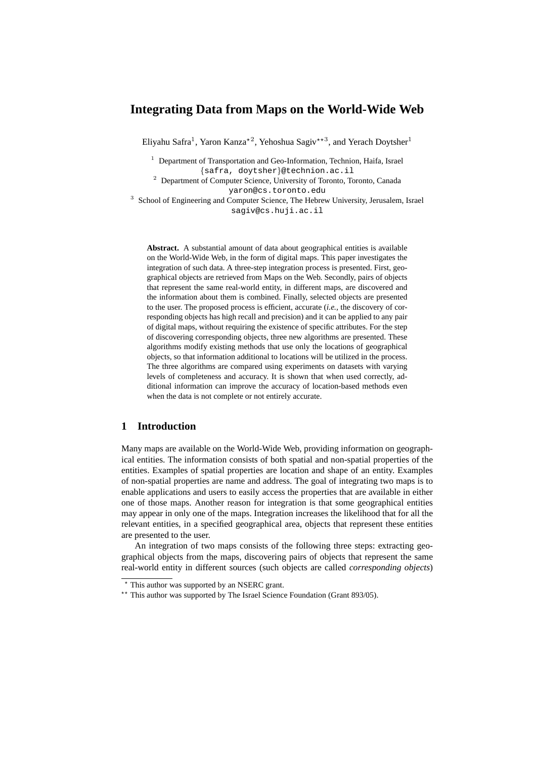# **Integrating Data from Maps on the World-Wide Web**

Eliyahu Safra<sup>1</sup>, Yaron Kanza<sup>\*2</sup>, Yehoshua Sagiv<sup>\*\*3</sup>, and Yerach Doytsher<sup>1</sup>

<sup>1</sup> Department of Transportation and Geo-Information, Technion, Haifa, Israel {safra, doytsher}@technion.ac.il

<sup>2</sup> Department of Computer Science, University of Toronto, Toronto, Canada yaron@cs.toronto.edu

<sup>3</sup> School of Engineering and Computer Science, The Hebrew University, Jerusalem, Israel sagiv@cs.huji.ac.il

**Abstract.** A substantial amount of data about geographical entities is available on the World-Wide Web, in the form of digital maps. This paper investigates the integration of such data. A three-step integration process is presented. First, geographical objects are retrieved from Maps on the Web. Secondly, pairs of objects that represent the same real-world entity, in different maps, are discovered and the information about them is combined. Finally, selected objects are presented to the user. The proposed process is efficient, accurate (*i.e.,* the discovery of corresponding objects has high recall and precision) and it can be applied to any pair of digital maps, without requiring the existence of specific attributes. For the step of discovering corresponding objects, three new algorithms are presented. These algorithms modify existing methods that use only the locations of geographical objects, so that information additional to locations will be utilized in the process. The three algorithms are compared using experiments on datasets with varying levels of completeness and accuracy. It is shown that when used correctly, additional information can improve the accuracy of location-based methods even when the data is not complete or not entirely accurate.

# **1 Introduction**

Many maps are available on the World-Wide Web, providing information on geographical entities. The information consists of both spatial and non-spatial properties of the entities. Examples of spatial properties are location and shape of an entity. Examples of non-spatial properties are name and address. The goal of integrating two maps is to enable applications and users to easily access the properties that are available in either one of those maps. Another reason for integration is that some geographical entities may appear in only one of the maps. Integration increases the likelihood that for all the relevant entities, in a specified geographical area, objects that represent these entities are presented to the user.

An integration of two maps consists of the following three steps: extracting geographical objects from the maps, discovering pairs of objects that represent the same real-world entity in different sources (such objects are called *corresponding objects*)

<sup>⋆</sup> This author was supported by an NSERC grant.

<sup>\*\*</sup> This author was supported by The Israel Science Foundation (Grant 893/05).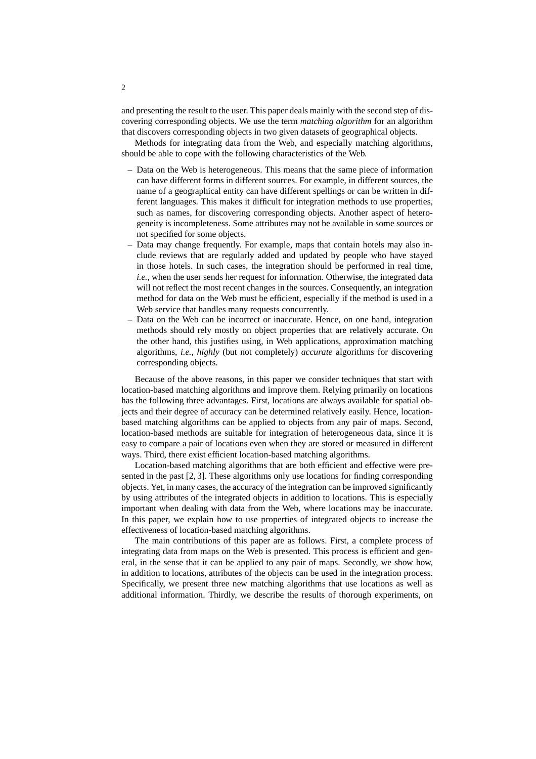and presenting the result to the user. This paper deals mainly with the second step of discovering corresponding objects. We use the term *matching algorithm* for an algorithm that discovers corresponding objects in two given datasets of geographical objects.

Methods for integrating data from the Web, and especially matching algorithms, should be able to cope with the following characteristics of the Web.

- Data on the Web is heterogeneous. This means that the same piece of information can have different forms in different sources. For example, in different sources, the name of a geographical entity can have different spellings or can be written in different languages. This makes it difficult for integration methods to use properties, such as names, for discovering corresponding objects. Another aspect of heterogeneity is incompleteness. Some attributes may not be available in some sources or not specified for some objects.
- Data may change frequently. For example, maps that contain hotels may also include reviews that are regularly added and updated by people who have stayed in those hotels. In such cases, the integration should be performed in real time, *i.e.*, when the user sends her request for information. Otherwise, the integrated data will not reflect the most recent changes in the sources. Consequently, an integration method for data on the Web must be efficient, especially if the method is used in a Web service that handles many requests concurrently.
- Data on the Web can be incorrect or inaccurate. Hence, on one hand, integration methods should rely mostly on object properties that are relatively accurate. On the other hand, this justifies using, in Web applications, approximation matching algorithms, *i.e., highly* (but not completely) *accurate* algorithms for discovering corresponding objects.

Because of the above reasons, in this paper we consider techniques that start with location-based matching algorithms and improve them. Relying primarily on locations has the following three advantages. First, locations are always available for spatial objects and their degree of accuracy can be determined relatively easily. Hence, locationbased matching algorithms can be applied to objects from any pair of maps. Second, location-based methods are suitable for integration of heterogeneous data, since it is easy to compare a pair of locations even when they are stored or measured in different ways. Third, there exist efficient location-based matching algorithms.

Location-based matching algorithms that are both efficient and effective were presented in the past [2, 3]. These algorithms only use locations for finding corresponding objects. Yet, in many cases, the accuracy of the integration can be improved significantly by using attributes of the integrated objects in addition to locations. This is especially important when dealing with data from the Web, where locations may be inaccurate. In this paper, we explain how to use properties of integrated objects to increase the effectiveness of location-based matching algorithms.

The main contributions of this paper are as follows. First, a complete process of integrating data from maps on the Web is presented. This process is efficient and general, in the sense that it can be applied to any pair of maps. Secondly, we show how, in addition to locations, attributes of the objects can be used in the integration process. Specifically, we present three new matching algorithms that use locations as well as additional information. Thirdly, we describe the results of thorough experiments, on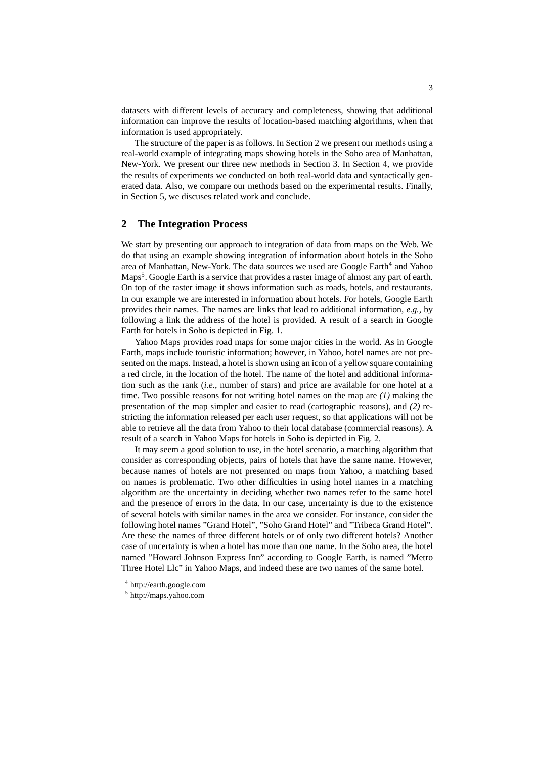datasets with different levels of accuracy and completeness, showing that additional information can improve the results of location-based matching algorithms, when that information is used appropriately.

The structure of the paper is as follows. In Section 2 we present our methods using a real-world example of integrating maps showing hotels in the Soho area of Manhattan, New-York. We present our three new methods in Section 3. In Section 4, we provide the results of experiments we conducted on both real-world data and syntactically generated data. Also, we compare our methods based on the experimental results. Finally, in Section 5, we discuses related work and conclude.

# **2 The Integration Process**

We start by presenting our approach to integration of data from maps on the Web. We do that using an example showing integration of information about hotels in the Soho area of Manhattan, New-York. The data sources we used are Google Earth $^4$  and Yahoo Maps<sup>5</sup>. Google Earth is a service that provides a raster image of almost any part of earth. On top of the raster image it shows information such as roads, hotels, and restaurants. In our example we are interested in information about hotels. For hotels, Google Earth provides their names. The names are links that lead to additional information, *e.g.,* by following a link the address of the hotel is provided. A result of a search in Google Earth for hotels in Soho is depicted in Fig. 1.

Yahoo Maps provides road maps for some major cities in the world. As in Google Earth, maps include touristic information; however, in Yahoo, hotel names are not presented on the maps. Instead, a hotel is shown using an icon of a yellow square containing a red circle, in the location of the hotel. The name of the hotel and additional information such as the rank (*i.e.*, number of stars) and price are available for one hotel at a time. Two possible reasons for not writing hotel names on the map are *(1)* making the presentation of the map simpler and easier to read (cartographic reasons), and *(2)* restricting the information released per each user request, so that applications will not be able to retrieve all the data from Yahoo to their local database (commercial reasons). A result of a search in Yahoo Maps for hotels in Soho is depicted in Fig. 2.

It may seem a good solution to use, in the hotel scenario, a matching algorithm that consider as corresponding objects, pairs of hotels that have the same name. However, because names of hotels are not presented on maps from Yahoo, a matching based on names is problematic. Two other difficulties in using hotel names in a matching algorithm are the uncertainty in deciding whether two names refer to the same hotel and the presence of errors in the data. In our case, uncertainty is due to the existence of several hotels with similar names in the area we consider. For instance, consider the following hotel names "Grand Hotel", "Soho Grand Hotel" and "Tribeca Grand Hotel". Are these the names of three different hotels or of only two different hotels? Another case of uncertainty is when a hotel has more than one name. In the Soho area, the hotel named "Howard Johnson Express Inn" according to Google Earth, is named "Metro Three Hotel Llc" in Yahoo Maps, and indeed these are two names of the same hotel.

<sup>4</sup> http://earth.google.com

<sup>5</sup> http://maps.yahoo.com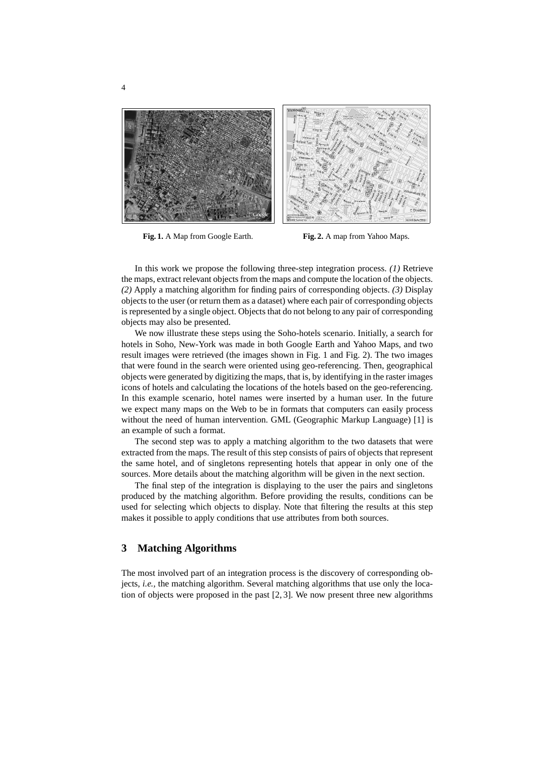

**Fig. 1.** A Map from Google Earth. **Fig. 2.** A map from Yahoo Maps.

In this work we propose the following three-step integration process. *(1)* Retrieve the maps, extract relevant objects from the maps and compute the location of the objects. *(2)* Apply a matching algorithm for finding pairs of corresponding objects. *(3)* Display objects to the user (or return them as a dataset) where each pair of corresponding objects is represented by a single object. Objects that do not belong to any pair of corresponding objects may also be presented.

We now illustrate these steps using the Soho-hotels scenario. Initially, a search for hotels in Soho, New-York was made in both Google Earth and Yahoo Maps, and two result images were retrieved (the images shown in Fig. 1 and Fig. 2). The two images that were found in the search were oriented using geo-referencing. Then, geographical objects were generated by digitizing the maps, that is, by identifying in the raster images icons of hotels and calculating the locations of the hotels based on the geo-referencing. In this example scenario, hotel names were inserted by a human user. In the future we expect many maps on the Web to be in formats that computers can easily process without the need of human intervention. GML (Geographic Markup Language) [1] is an example of such a format.

The second step was to apply a matching algorithm to the two datasets that were extracted from the maps. The result of this step consists of pairs of objects that represent the same hotel, and of singletons representing hotels that appear in only one of the sources. More details about the matching algorithm will be given in the next section.

The final step of the integration is displaying to the user the pairs and singletons produced by the matching algorithm. Before providing the results, conditions can be used for selecting which objects to display. Note that filtering the results at this step makes it possible to apply conditions that use attributes from both sources.

# **3 Matching Algorithms**

The most involved part of an integration process is the discovery of corresponding objects, *i.e.,* the matching algorithm. Several matching algorithms that use only the location of objects were proposed in the past [2, 3]. We now present three new algorithms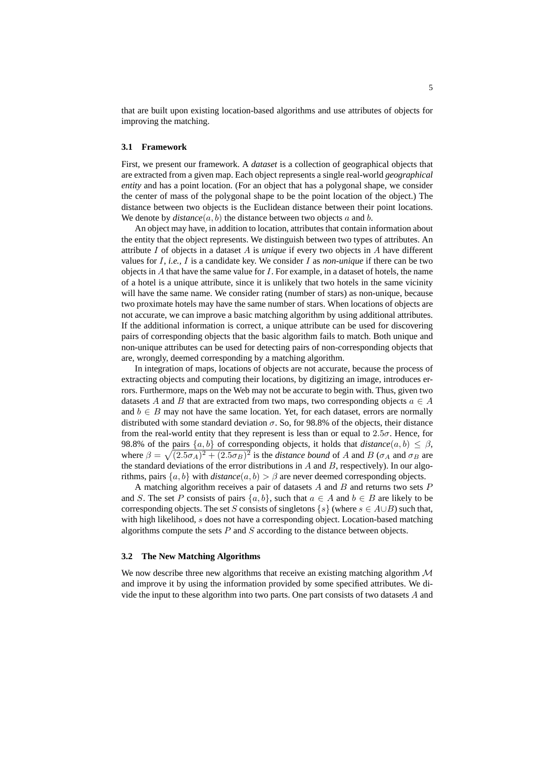that are built upon existing location-based algorithms and use attributes of objects for improving the matching.

#### **3.1 Framework**

First, we present our framework. A *dataset* is a collection of geographical objects that are extracted from a given map. Each object represents a single real-world *geographical entity* and has a point location. (For an object that has a polygonal shape, we consider the center of mass of the polygonal shape to be the point location of the object.) The distance between two objects is the Euclidean distance between their point locations. We denote by  $distance(a, b)$  the distance between two objects  $a$  and  $b$ .

An object may have, in addition to location, attributes that contain information about the entity that the object represents. We distinguish between two types of attributes. An attribute I of objects in a dataset A is *unique* if every two objects in A have different values for I, *i.e.,* I is a candidate key. We consider I as *non-unique* if there can be two objects in  $A$  that have the same value for  $I$ . For example, in a dataset of hotels, the name of a hotel is a unique attribute, since it is unlikely that two hotels in the same vicinity will have the same name. We consider rating (number of stars) as non-unique, because two proximate hotels may have the same number of stars. When locations of objects are not accurate, we can improve a basic matching algorithm by using additional attributes. If the additional information is correct, a unique attribute can be used for discovering pairs of corresponding objects that the basic algorithm fails to match. Both unique and non-unique attributes can be used for detecting pairs of non-corresponding objects that are, wrongly, deemed corresponding by a matching algorithm.

In integration of maps, locations of objects are not accurate, because the process of extracting objects and computing their locations, by digitizing an image, introduces errors. Furthermore, maps on the Web may not be accurate to begin with. Thus, given two datasets A and B that are extracted from two maps, two corresponding objects  $a \in A$ and  $b \in B$  may not have the same location. Yet, for each dataset, errors are normally distributed with some standard deviation  $\sigma$ . So, for 98.8% of the objects, their distance from the real-world entity that they represent is less than or equal to  $2.5\sigma$ . Hence, for 98.8% of the pairs  $\{a, b\}$  of corresponding objects, it holds that *distance* $(a, b) \leq \beta$ , where  $\beta = \sqrt{(2.5\sigma_A)^2 + (2.5\sigma_B)^2}$  is the *distance bound* of A and B ( $\sigma_A$  and  $\sigma_B$  are the standard deviations of the error distributions in  $A$  and  $B$ , respectively). In our algorithms, pairs  $\{a, b\}$  with *distance* $(a, b) > \beta$  are never deemed corresponding objects.

A matching algorithm receives a pair of datasets  $A$  and  $B$  and returns two sets  $P$ and S. The set P consists of pairs  $\{a, b\}$ , such that  $a \in A$  and  $b \in B$  are likely to be corresponding objects. The set S consists of singletons  $\{s\}$  (where  $s \in A \cup B$ ) such that, with high likelihood, s does not have a corresponding object. Location-based matching algorithms compute the sets  $P$  and  $S$  according to the distance between objects.

### **3.2 The New Matching Algorithms**

We now describe three new algorithms that receive an existing matching algorithm  $\mathcal M$ and improve it by using the information provided by some specified attributes. We divide the input to these algorithm into two parts. One part consists of two datasets A and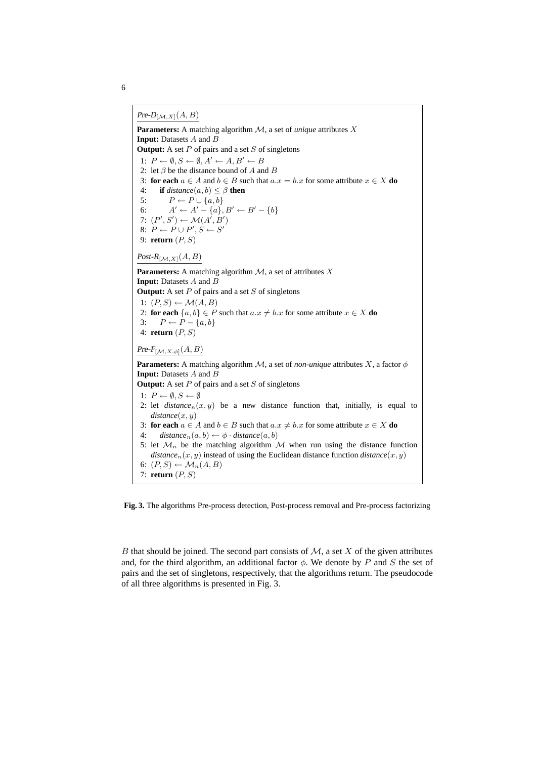Pre- $D_{[\mathcal{M},X]}(A, B)$ 

**Parameters:** A matching algorithm M, a set of *unique* attributes X **Input:** Datasets A and B **Output:** A set  $P$  of pairs and a set  $S$  of singletons 1:  $P \leftarrow \emptyset$ ,  $S \leftarrow \emptyset$ ,  $A' \leftarrow A$ ,  $B' \leftarrow B$ 2: let  $\beta$  be the distance bound of A and B 3: **for each**  $a \in A$  and  $b \in B$  such that  $a.x = b.x$  for some attribute  $x \in X$  **do** 4: **if**  $distance(a, b) \leq \beta$  **then** 5:  $P \leftarrow P \cup \{a, b\}$ 6:  $A' \leftarrow A' - \{a\}, B' \leftarrow B' - \{b\}$ 7:  $(P', S') \leftarrow \mathcal{M}(A', B')$ 8:  $P \leftarrow P \cup P', S \leftarrow S'$ 9: **return** (P, S) Post- $R_{[M,X]}(A, B)$ **Parameters:** A matching algorithm  $M$ , a set of attributes  $X$ **Input:** Datasets A and B **Output:** A set  $P$  of pairs and a set  $S$  of singletons 1:  $(P, S) \leftarrow \mathcal{M}(A, B)$ 2: **for each**  $\{a, b\} \in P$  such that  $a.x \neq b.x$  for some attribute  $x \in X$  **do** 3:  $P \leftarrow P - \{a, b\}$ 4: **return** (P, S) Pre- $F_{[\mathcal{M},X,\phi]}(A, B)$ **Parameters:** A matching algorithm M, a set of *non-unique* attributes X, a factor  $\phi$ **Input:** Datasets A and B **Output:** A set  $P$  of pairs and a set  $S$  of singletons 1:  $P \leftarrow \emptyset$ ,  $S \leftarrow \emptyset$ 2: let  $distance_n(x, y)$  be a new distance function that, initially, is equal to  $distance(x, y)$ 3: **for each**  $a \in A$  and  $b \in B$  such that  $a.x \neq b.x$  for some attribute  $x \in X$  **do** 4:  $distance_n(a, b) \leftarrow \phi \cdot distance(a, b)$ 5: let  $\mathcal{M}_n$  be the matching algorithm  $\mathcal M$  when run using the distance function *distance*<sub>n</sub> $(x, y)$  instead of using the Euclidean distance function *distance* $(x, y)$ 6:  $(P, S) \leftarrow \mathcal{M}_n(A, B)$ 7: **return** (P, S)

**Fig. 3.** The algorithms Pre-process detection, Post-process removal and Pre-process factorizing

B that should be joined. The second part consists of  $M$ , a set  $X$  of the given attributes and, for the third algorithm, an additional factor  $\phi$ . We denote by P and S the set of pairs and the set of singletons, respectively, that the algorithms return. The pseudocode of all three algorithms is presented in Fig. 3.

6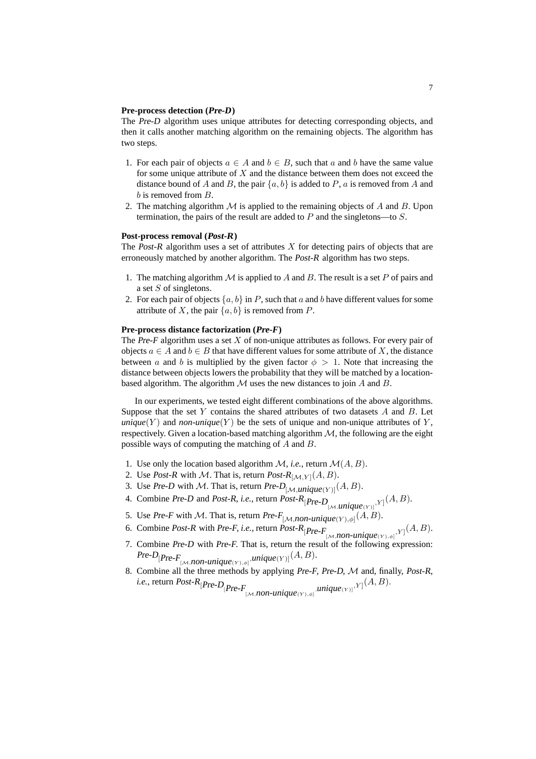#### **Pre-process detection (Pre-D)**

The Pre-D algorithm uses unique attributes for detecting corresponding objects, and then it calls another matching algorithm on the remaining objects. The algorithm has two steps.

- 1. For each pair of objects  $a \in A$  and  $b \in B$ , such that a and b have the same value for some unique attribute of  $X$  and the distance between them does not exceed the distance bound of A and B, the pair  $\{a, b\}$  is added to P, a is removed from A and b is removed from B.
- 2. The matching algorithm  $M$  is applied to the remaining objects of  $A$  and  $B$ . Upon termination, the pairs of the result are added to  $P$  and the singletons—to  $S$ .

#### **Post-process removal (Post-R)**

The Post-R algorithm uses a set of attributes  $X$  for detecting pairs of objects that are erroneously matched by another algorithm. The Post-R algorithm has two steps.

- 1. The matching algorithm  $M$  is applied to  $A$  and  $B$ . The result is a set  $P$  of pairs and a set S of singletons.
- 2. For each pair of objects  $\{a, b\}$  in P, such that a and b have different values for some attribute of X, the pair  $\{a, b\}$  is removed from P.

## **Pre-process distance factorization (Pre-F)**

The Pre-F algorithm uses a set  $X$  of non-unique attributes as follows. For every pair of objects  $a \in A$  and  $b \in B$  that have different values for some attribute of X, the distance between a and b is multiplied by the given factor  $\phi > 1$ . Note that increasing the distance between objects lowers the probability that they will be matched by a locationbased algorithm. The algorithm  $M$  uses the new distances to join  $A$  and  $B$ .

In our experiments, we tested eight different combinations of the above algorithms. Suppose that the set Y contains the shared attributes of two datasets  $A$  and  $B$ . Let *unique*(Y) and *non-unique*(Y) be the sets of unique and non-unique attributes of Y, respectively. Given a location-based matching algorithm  $M$ , the following are the eight possible ways of computing the matching of A and B.

- 1. Use only the location based algorithm  $\mathcal{M}$ , *i.e.*, return  $\mathcal{M}(A, B)$ .
- 2. Use Post-R with M. That is, return Post- $R_{\mathcal{[M,Y]}}(A, B)$ .
- 3. Use Pre-D with M. That is, return Pre- $D_{\text{[}M\!,\text{unique}(Y)]}(A, B)$ .
- 4. Combine Pre-D and Post-R, *i.e.*, return Post-R<sub>[Pre-D<sub>[*M, unique*(*Y*<sub>)]</sub></sub>,*Y*](*A, B*).</sub>
- 5. Use Pre-F with M. That is, return Pre- $F_{[\mathcal{M},\mathcal{N}]}(A,B)$ .
- 6. Combine Post-R with Pre-F, *i.e.*, return Post-R<sub>[Pre-F<sub>[M, non-unique(Y), $\phi$ ],  $Y$ ]  $(A, B)$ .</sub></sub>
- 7. Combine Pre-D with Pre-F. That is, return the result of the following expression:  $Pre\text{-}D_{\left[Pre\text{-}F_{\left[\mathcal{M},\text{non-unique}(Y),\phi\right]},\text{unique}(Y)\right]}(A,B).$
- 8. Combine all the three methods by applying Pre-F, Pre-D,  $M$  and, finally, Post-R, *i.e.,* return Post-R<sub>[</sub>Pre-D<sub>[</sub>Pre-F<sub>[M,</sub>non-unique<sub>(Y),φ]</sub>,unique<sub>(Y)]</sub>,Y](A, B).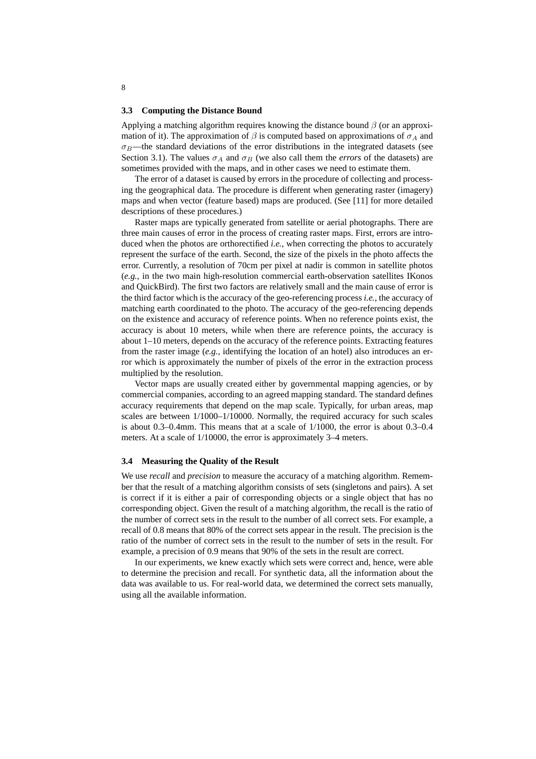#### **3.3 Computing the Distance Bound**

Applying a matching algorithm requires knowing the distance bound  $\beta$  (or an approximation of it). The approximation of  $\beta$  is computed based on approximations of  $\sigma_A$  and  $\sigma_B$ —the standard deviations of the error distributions in the integrated datasets (see Section 3.1). The values  $\sigma_A$  and  $\sigma_B$  (we also call them the *errors* of the datasets) are sometimes provided with the maps, and in other cases we need to estimate them.

The error of a dataset is caused by errors in the procedure of collecting and processing the geographical data. The procedure is different when generating raster (imagery) maps and when vector (feature based) maps are produced. (See [11] for more detailed descriptions of these procedures.)

Raster maps are typically generated from satellite or aerial photographs. There are three main causes of error in the process of creating raster maps. First, errors are introduced when the photos are orthorectified *i.e.,* when correcting the photos to accurately represent the surface of the earth. Second, the size of the pixels in the photo affects the error. Currently, a resolution of 70cm per pixel at nadir is common in satellite photos (*e.g.,* in the two main high-resolution commercial earth-observation satellites IKonos and QuickBird). The first two factors are relatively small and the main cause of error is the third factor which is the accuracy of the geo-referencing process *i.e.,* the accuracy of matching earth coordinated to the photo. The accuracy of the geo-referencing depends on the existence and accuracy of reference points. When no reference points exist, the accuracy is about 10 meters, while when there are reference points, the accuracy is about 1–10 meters, depends on the accuracy of the reference points. Extracting features from the raster image (*e.g.,* identifying the location of an hotel) also introduces an error which is approximately the number of pixels of the error in the extraction process multiplied by the resolution.

Vector maps are usually created either by governmental mapping agencies, or by commercial companies, according to an agreed mapping standard. The standard defines accuracy requirements that depend on the map scale. Typically, for urban areas, map scales are between 1/1000–1/10000. Normally, the required accuracy for such scales is about 0.3–0.4mm. This means that at a scale of 1/1000, the error is about 0.3–0.4 meters. At a scale of 1/10000, the error is approximately 3–4 meters.

## **3.4 Measuring the Quality of the Result**

We use *recall* and *precision* to measure the accuracy of a matching algorithm. Remember that the result of a matching algorithm consists of sets (singletons and pairs). A set is correct if it is either a pair of corresponding objects or a single object that has no corresponding object. Given the result of a matching algorithm, the recall is the ratio of the number of correct sets in the result to the number of all correct sets. For example, a recall of 0.8 means that 80% of the correct sets appear in the result. The precision is the ratio of the number of correct sets in the result to the number of sets in the result. For example, a precision of 0.9 means that 90% of the sets in the result are correct.

In our experiments, we knew exactly which sets were correct and, hence, were able to determine the precision and recall. For synthetic data, all the information about the data was available to us. For real-world data, we determined the correct sets manually, using all the available information.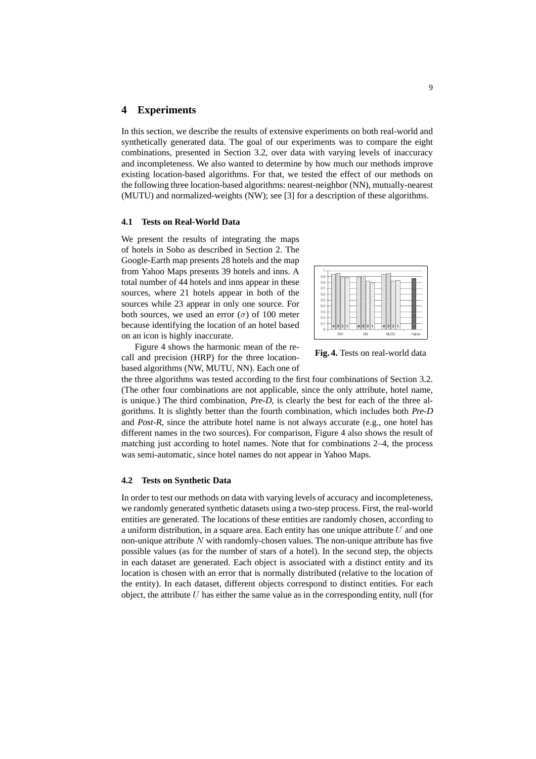### **4 Experiments**

In this section, we describe the results of extensive experiments on both real-world and synthetically generated data. The goal of our experiments was to compare the eight combinations, presented in Section 3.2, over data with varying levels of inaccuracy and incompleteness. We also wanted to determine by how much our methods improve existing location-based algorithms. For that, we tested the effect of our methods on the following three location-based algorithms: nearest-neighbor (NN), mutually-nearest (MUTU) and normalized-weights (NW); see [3] for a description of these algorithms.

#### **4.1 Tests on Real-World Data**

We present the results of integrating the maps of hotels in Soho as described in Section 2. The Google-Earth map presents 28 hotels and the map from Yahoo Maps presents 39 hotels and inns. A total number of 44 hotels and inns appear in these sources, where 21 hotels appear in both of the sources while 23 appear in only one source. For both sources, we used an error  $(\sigma)$  of 100 meter because identifying the location of an hotel based on an icon is highly inaccurate.





**Fig. 4.** Tests on real-world data

the three algorithms was tested according to the first four combinations of Section 3.2. (The other four combinations are not applicable, since the only attribute, hotel name, is unique.) The third combination, Pre-D, is clearly the best for each of the three algorithms. It is slightly better than the fourth combination, which includes both Pre-D and Post-R, since the attribute hotel name is not always accurate (e.g., one hotel has different names in the two sources). For comparison, Figure 4 also shows the result of matching just according to hotel names. Note that for combinations 2–4, the process was semi-automatic, since hotel names do not appear in Yahoo Maps.

### **4.2 Tests on Synthetic Data**

In order to test our methods on data with varying levels of accuracy and incompleteness, we randomly generated synthetic datasets using a two-step process. First, the real-world entities are generated. The locations of these entities are randomly chosen, according to a uniform distribution, in a square area. Each entity has one unique attribute  $U$  and one non-unique attribute  $N$  with randomly-chosen values. The non-unique attribute has five possible values (as for the number of stars of a hotel). In the second step, the objects in each dataset are generated. Each object is associated with a distinct entity and its location is chosen with an error that is normally distributed (relative to the location of the entity). In each dataset, different objects correspond to distinct entities. For each object, the attribute  $U$  has either the same value as in the corresponding entity, null (for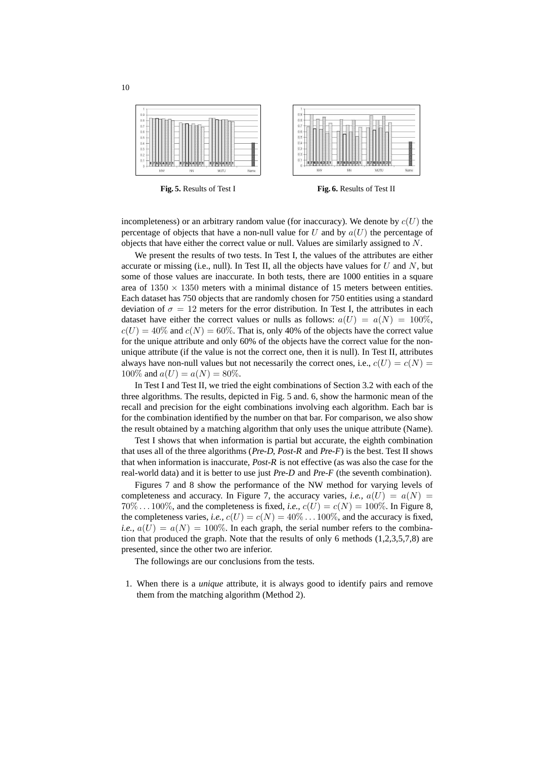

**Fig. 5.** Results of Test I **Fig. 6.** Results of Test II

incompleteness) or an arbitrary random value (for inaccuracy). We denote by  $c(U)$  the percentage of objects that have a non-null value for U and by  $a(U)$  the percentage of objects that have either the correct value or null. Values are similarly assigned to N.

We present the results of two tests. In Test I, the values of the attributes are either accurate or missing (i.e., null). In Test II, all the objects have values for U and N, but some of those values are inaccurate. In both tests, there are 1000 entities in a square area of  $1350 \times 1350$  meters with a minimal distance of 15 meters between entities. Each dataset has 750 objects that are randomly chosen for 750 entities using a standard deviation of  $\sigma = 12$  meters for the error distribution. In Test I, the attributes in each dataset have either the correct values or nulls as follows:  $a(U) = a(N) = 100\%$ ,  $c(U) = 40\%$  and  $c(N) = 60\%$ . That is, only 40% of the objects have the correct value for the unique attribute and only 60% of the objects have the correct value for the nonunique attribute (if the value is not the correct one, then it is null). In Test II, attributes always have non-null values but not necessarily the correct ones, i.e.,  $c(U) = c(N)$ 100\% and  $a(U) = a(N) = 80\%$ .

In Test I and Test II, we tried the eight combinations of Section 3.2 with each of the three algorithms. The results, depicted in Fig. 5 and. 6, show the harmonic mean of the recall and precision for the eight combinations involving each algorithm. Each bar is for the combination identified by the number on that bar. For comparison, we also show the result obtained by a matching algorithm that only uses the unique attribute (Name).

Test I shows that when information is partial but accurate, the eighth combination that uses all of the three algorithms (Pre-D, Post-R and Pre-F) is the best. Test II shows that when information is inaccurate, Post-R is not effective (as was also the case for the real-world data) and it is better to use just Pre-D and Pre-F (the seventh combination).

Figures 7 and 8 show the performance of the NW method for varying levels of completeness and accuracy. In Figure 7, the accuracy varies, *i.e.*,  $a(U) = a(N) =$  $70\% \dots 100\%$ , and the completeness is fixed, *i.e.*,  $c(U) = c(N) = 100\%$ . In Figure 8, the completeness varies, *i.e.*,  $c(U) = c(N) = 40\% \dots 100\%$ , and the accuracy is fixed, *i.e.,*  $a(U) = a(N) = 100\%$ . In each graph, the serial number refers to the combination that produced the graph. Note that the results of only 6 methods (1,2,3,5,7,8) are presented, since the other two are inferior.

The followings are our conclusions from the tests.

1. When there is a *unique* attribute, it is always good to identify pairs and remove them from the matching algorithm (Method 2).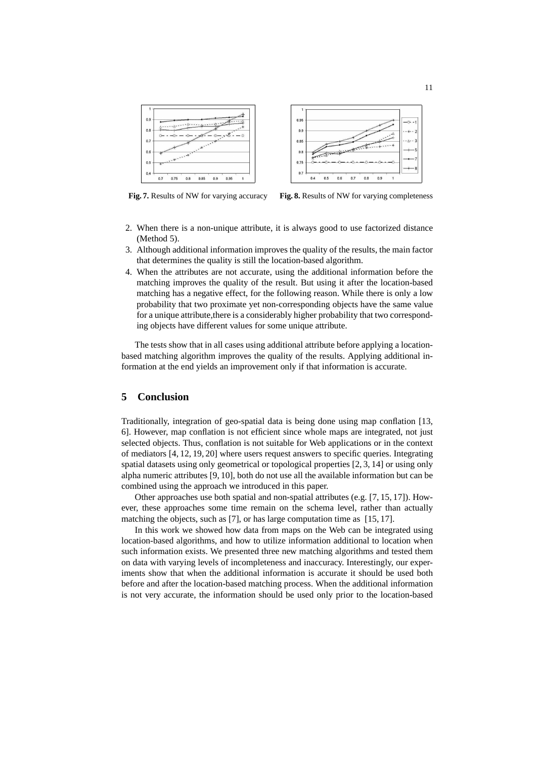

**Fig. 7.** Results of NW for varying accuracy **Fig. 8.** Results of NW for varying completeness

- 2. When there is a non-unique attribute, it is always good to use factorized distance (Method 5).
- 3. Although additional information improves the quality of the results, the main factor that determines the quality is still the location-based algorithm.
- 4. When the attributes are not accurate, using the additional information before the matching improves the quality of the result. But using it after the location-based matching has a negative effect, for the following reason. While there is only a low probability that two proximate yet non-corresponding objects have the same value for a unique attribute,there is a considerably higher probability that two corresponding objects have different values for some unique attribute.

The tests show that in all cases using additional attribute before applying a locationbased matching algorithm improves the quality of the results. Applying additional information at the end yields an improvement only if that information is accurate.

## **5 Conclusion**

Traditionally, integration of geo-spatial data is being done using map conflation [13, 6]. However, map conflation is not efficient since whole maps are integrated, not just selected objects. Thus, conflation is not suitable for Web applications or in the context of mediators [4, 12, 19, 20] where users request answers to specific queries. Integrating spatial datasets using only geometrical or topological properties [2, 3, 14] or using only alpha numeric attributes [9, 10], both do not use all the available information but can be combined using the approach we introduced in this paper.

Other approaches use both spatial and non-spatial attributes (e.g. [7, 15, 17]). However, these approaches some time remain on the schema level, rather than actually matching the objects, such as [7], or has large computation time as [15, 17].

In this work we showed how data from maps on the Web can be integrated using location-based algorithms, and how to utilize information additional to location when such information exists. We presented three new matching algorithms and tested them on data with varying levels of incompleteness and inaccuracy. Interestingly, our experiments show that when the additional information is accurate it should be used both before and after the location-based matching process. When the additional information is not very accurate, the information should be used only prior to the location-based